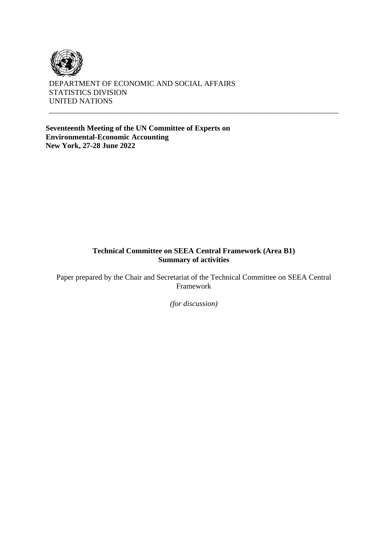

DEPARTMENT OF ECONOMIC AND SOCIAL AFFAIRS STATISTICS DIVISION UNITED NATIONS

**Seventeenth Meeting of the UN Committee of Experts on Environmental-Economic Accounting New York, 27-28 June 2022**

# **Technical Committee on SEEA Central Framework (Area B1) Summary of activities**

\_\_\_\_\_\_\_\_\_\_\_\_\_\_\_\_\_\_\_\_\_\_\_\_\_\_\_\_\_\_\_\_\_\_\_\_\_\_\_\_\_\_\_\_\_\_\_\_\_\_\_\_\_\_\_\_\_\_\_\_\_\_\_\_\_\_\_\_\_\_\_\_\_\_\_\_

Paper prepared by the Chair and Secretariat of the Technical Committee on SEEA Central Framework

*(for discussion)*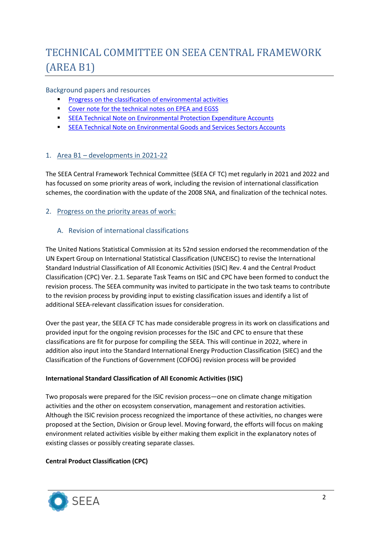# TECHNICAL COMMITTEE ON SEEA CENTRAL FRAMEWORK (AREA B1)

#### Background papers and resources

- [Progress on the classification of environmental activities](https://seea.un.org/sites/seea.un.org/files/areab1_bk1.unceea_27-28_june_2022_meeting_integrated_classification.pdf)
- [Cover note for the technical notes on EPEA and EGSS](https://seea.un.org/sites/seea.un.org/files/areab1_bk2.unceea_27-28_june_2022_meeting_technical_notes_epeaegss.pdf)
- [SEEA Technical Note on Environmental Protection Expenditure Accounts](https://seea.un.org/sites/seea.un.org/files/areab1_bk3._seea_technical_note_epea.pdf)
- **EXECTE A** Technical Note on Environmental Goods and Services Sectors Accounts

#### 1. Area B1 – developments in 2021-22

The SEEA Central Framework Technical Committee (SEEA CF TC) met regularly in 2021 and 2022 and has focussed on some priority areas of work, including the revision of international classification schemes, the coordination with the update of the 2008 SNA, and finalization of the technical notes.

#### 2. Progress on the priority areas of work:

## A. Revision of international classifications

The United Nations Statistical Commission at its 52nd session endorsed the recommendation of the UN Expert Group on International Statistical Classification (UNCEISC) to revise the International Standard Industrial Classification of All Economic Activities (ISIC) Rev. 4 and the Central Product Classification (CPC) Ver. 2.1. Separate Task Teams on ISIC and CPC have been formed to conduct the revision process. The SEEA community was invited to participate in the two task teams to contribute to the revision process by providing input to existing classification issues and identify a list of additional SEEA-relevant classification issues for consideration.

Over the past year, the SEEA CF TC has made considerable progress in its work on classifications and provided input for the ongoing revision processes for the ISIC and CPC to ensure that these classifications are fit for purpose for compiling the SEEA. This will continue in 2022, where in addition also input into the Standard International Energy Production Classification (SIEC) and the Classification of the Functions of Government (COFOG) revision process will be provided

#### **International Standard Classification of All Economic Activities (ISIC)**

Two proposals were prepared for the ISIC revision process—one on climate change mitigation activities and the other on ecosystem conservation, management and restoration activities. Although the ISIC revision process recognized the importance of these activities, no changes were proposed at the Section, Division or Group level. Moving forward, the efforts will focus on making environment related activities visible by either making them explicit in the explanatory notes of existing classes or possibly creating separate classes.

#### **Central Product Classification (CPC)**

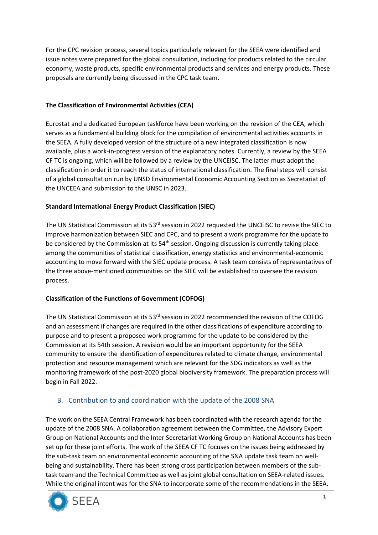For the CPC revision process, several topics particularly relevant for the SEEA were identified and issue notes were prepared for the global consultation, including for products related to the circular economy, waste products, specific environmental products and services and energy products. These proposals are currently being discussed in the CPC task team.

#### **The Classification of Environmental Activities (CEA)**

Eurostat and a dedicated European taskforce have been working on the revision of the CEA, which serves as a fundamental building block for the compilation of environmental activities accounts in the SEEA. A fully developed version of the structure of a new integrated classification is now available, plus a work-in-progress version of the explanatory notes. Currently, a review by the SEEA CF TC is ongoing, which will be followed by a review by the UNCEISC. The latter must adopt the classification in order it to reach the status of international classification. The final steps will consist of a global consultation run by UNSD Environmental Economic Accounting Section as Secretariat of the UNCEEA and submission to the UNSC in 2023.

## **Standard International Energy Product Classification (SIEC)**

The UN Statistical Commission at its 53<sup>rd</sup> session in 2022 requested the UNCEISC to revise the SIEC to improve harmonization between SIEC and CPC, and to present a work programme for the update to be considered by the Commission at its  $54<sup>th</sup>$  session. Ongoing discussion is currently taking place among the communities of statistical classification, energy statistics and environmental-economic accounting to move forward with the SIEC update process. A task team consists of representatives of the three above-mentioned communities on the SIEC will be established to oversee the revision process.

# **Classification of the Functions of Government (COFOG)**

The UN Statistical Commission at its 53<sup>rd</sup> session in 2022 recommended the revision of the COFOG and an assessment if changes are required in the other classifications of expenditure according to purpose and to present a proposed work programme for the update to be considered by the Commission at its 54th session. A revision would be an important opportunity for the SEEA community to ensure the identification of expenditures related to climate change, environmental protection and resource management which are relevant for the SDG indicators as well as the monitoring framework of the post-2020 global biodiversity framework. The preparation process will begin in Fall 2022.

# B. Contribution to and coordination with the update of the 2008 SNA

The work on the SEEA Central Framework has been coordinated with the research agenda for the update of the 2008 SNA. A collaboration agreement between the Committee, the Advisory Expert Group on National Accounts and the Inter Secretariat Working Group on National Accounts has been set up for these joint efforts. The work of the SEEA CF TC focuses on the issues being addressed by the sub-task team on environmental economic accounting of the SNA update task team on wellbeing and sustainability. There has been strong cross participation between members of the subtask team and the Technical Committee as well as joint global consultation on SEEA-related issues. While the original intent was for the SNA to incorporate some of the recommendations in the SEEA,